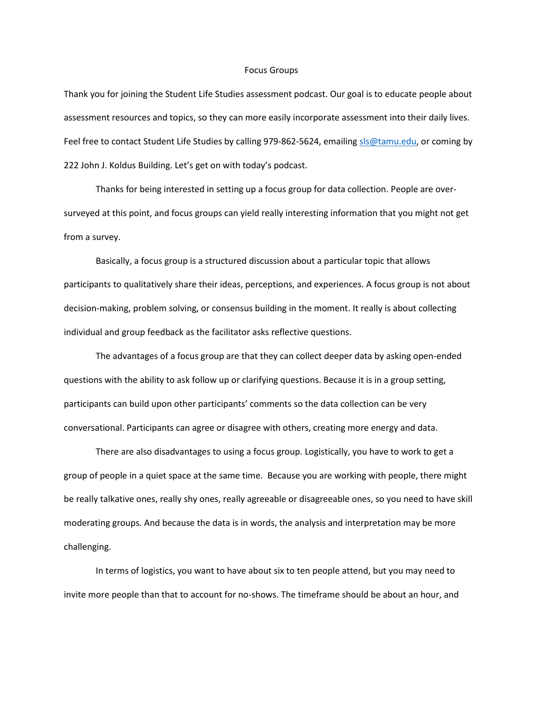## Focus Groups

Thank you for joining the Student Life Studies assessment podcast. Our goal is to educate people about assessment resources and topics, so they can more easily incorporate assessment into their daily lives. Feel free to contact Student Life Studies by calling 979-862-5624, emailin[g sls@tamu.edu,](mailto:sls@tamu.edu) or coming by 222 John J. Koldus Building. Let's get on with today's podcast.

Thanks for being interested in setting up a focus group for data collection. People are oversurveyed at this point, and focus groups can yield really interesting information that you might not get from a survey.

Basically, a focus group is a structured discussion about a particular topic that allows participants to qualitatively share their ideas, perceptions, and experiences. A focus group is not about decision-making, problem solving, or consensus building in the moment. It really is about collecting individual and group feedback as the facilitator asks reflective questions.

The advantages of a focus group are that they can collect deeper data by asking open-ended questions with the ability to ask follow up or clarifying questions. Because it is in a group setting, participants can build upon other participants' comments so the data collection can be very conversational. Participants can agree or disagree with others, creating more energy and data.

There are also disadvantages to using a focus group. Logistically, you have to work to get a group of people in a quiet space at the same time. Because you are working with people, there might be really talkative ones, really shy ones, really agreeable or disagreeable ones, so you need to have skill moderating groups. And because the data is in words, the analysis and interpretation may be more challenging.

In terms of logistics, you want to have about six to ten people attend, but you may need to invite more people than that to account for no-shows. The timeframe should be about an hour, and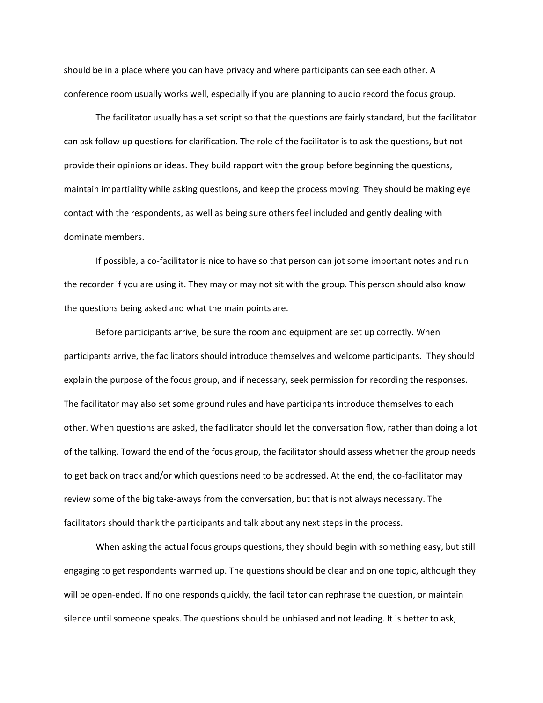should be in a place where you can have privacy and where participants can see each other. A conference room usually works well, especially if you are planning to audio record the focus group.

The facilitator usually has a set script so that the questions are fairly standard, but the facilitator can ask follow up questions for clarification. The role of the facilitator is to ask the questions, but not provide their opinions or ideas. They build rapport with the group before beginning the questions, maintain impartiality while asking questions, and keep the process moving. They should be making eye contact with the respondents, as well as being sure others feel included and gently dealing with dominate members.

If possible, a co-facilitator is nice to have so that person can jot some important notes and run the recorder if you are using it. They may or may not sit with the group. This person should also know the questions being asked and what the main points are.

Before participants arrive, be sure the room and equipment are set up correctly. When participants arrive, the facilitators should introduce themselves and welcome participants. They should explain the purpose of the focus group, and if necessary, seek permission for recording the responses. The facilitator may also set some ground rules and have participants introduce themselves to each other. When questions are asked, the facilitator should let the conversation flow, rather than doing a lot of the talking. Toward the end of the focus group, the facilitator should assess whether the group needs to get back on track and/or which questions need to be addressed. At the end, the co-facilitator may review some of the big take-aways from the conversation, but that is not always necessary. The facilitators should thank the participants and talk about any next steps in the process.

When asking the actual focus groups questions, they should begin with something easy, but still engaging to get respondents warmed up. The questions should be clear and on one topic, although they will be open-ended. If no one responds quickly, the facilitator can rephrase the question, or maintain silence until someone speaks. The questions should be unbiased and not leading. It is better to ask,